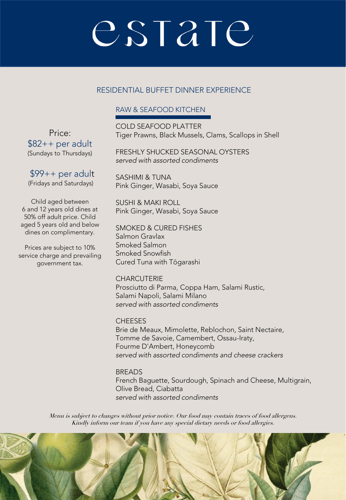### RESIDENTIAL BUFFET DINNER EXPERIENCE

### RAW & SEAFOOD KITCHEN

COLD SEAFOOD PLATTER Tiger Prawns, Black Mussels, Clams, Scallops in Shell

FRESHLY SHUCKED SEASONAL OYSTERS *served with assorted condiments*

SASHIMI & TUNA Pink Ginger, Wasabi, Soya Sauce

SUSHI & MAKI ROLL Pink Ginger, Wasabi, Soya Sauce

SMOKED & CURED FISHES Salmon Gravlax Smoked Salmon Smoked Snowfish Cured Tuna with Tōgarashi

**CHARCUTERIE** Prosciutto di Parma, Coppa Ham, Salami Rustic, Salami Napoli, Salami Milano *served with assorted condiments*

**CHEESES** Brie de Meaux, Mimolette, Reblochon, Saint Nectaire, Tomme de Savoie, Camembert, Ossau-Iraty, Fourme D'Ambert, Honeycomb *served with assorted condiments and cheese crackers*

BREADS French Baguette, Sourdough, Spinach and Cheese, Multigrain, Olive Bread, Ciabatta *served with assorted condiments*

Menu is subject to changes without prior notice. Our food may contain traces of food allergens. Kindly inform our team if you have any special dietary needs or food allergies.



Price: \$82++ per adult (Sundays to Thursdays)

\$99++ per adult (Fridays and Saturdays)

Child aged between 6 and 12 years old dines at 50% off adult price. Child aged 5 years old and below dines on complimentary.

Prices are subject to 10% service charge and prevailing government tax.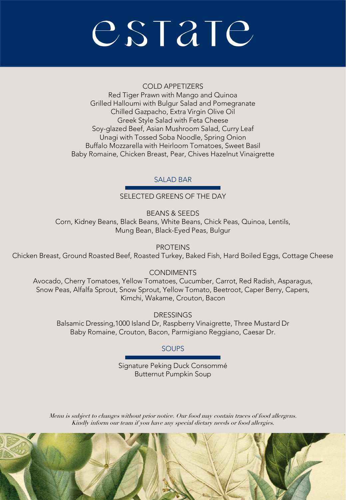#### COLD APPETIZERS

Red Tiger Prawn with Mango and Quinoa Grilled Halloumi with Bulgur Salad and Pomegranate Chilled Gazpacho, Extra Virgin Olive Oil Greek Style Salad with Feta Cheese Soy-glazed Beef, Asian Mushroom Salad, Curry Leaf Unagi with Tossed Soba Noodle, Spring Onion Buffalo Mozzarella with Heirloom Tomatoes, Sweet Basil Baby Romaine, Chicken Breast, Pear, Chives Hazelnut Vinaigrette

### SALAD BAR

SELECTED GREENS OF THE DAY

BEANS & SEEDS Corn, Kidney Beans, Black Beans, White Beans, Chick Peas, Quinoa, Lentils, Mung Bean, Black-Eyed Peas, Bulgur

**PROTEINS** Chicken Breast, Ground Roasted Beef, Roasted Turkey, Baked Fish, Hard Boiled Eggs, Cottage Cheese

**CONDIMENTS** 

Avocado, Cherry Tomatoes, Yellow Tomatoes, Cucumber, Carrot, Red Radish, Asparagus, Snow Peas, Alfalfa Sprout, Snow Sprout, Yellow Tomato, Beetroot, Caper Berry, Capers, Kimchi, Wakame, Crouton, Bacon

**DRESSINGS** Balsamic Dressing,1000 Island Dr, Raspberry Vinaigrette, Three Mustard Dr Baby Romaine, Crouton, Bacon, Parmigiano Reggiano, Caesar Dr.

### **SOUPS**

Signature Peking Duck Consommé Butternut Pumpkin Soup

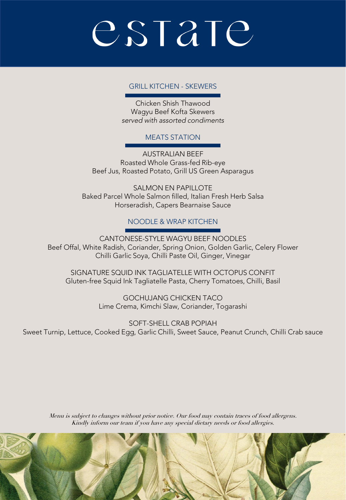#### GRILL KITCHEN - SKEWERS

Chicken Shish Thawood Wagyu Beef Kofta Skewers *served with assorted condiments*

#### MEATS STATION

AUSTRALIAN BEEF Roasted Whole Grass-fed Rib-eye Beef Jus, Roasted Potato, Grill US Green Asparagus

SALMON EN PAPILLOTE Baked Parcel Whole Salmon filled, Italian Fresh Herb Salsa Horseradish, Capers Bearnaise Sauce

#### NOODLE & WRAP KITCHEN

CANTONESE-STYLE WAGYU BEEF NOODLES Beef Offal, White Radish, Coriander, Spring Onion, Golden Garlic, Celery Flower Chilli Garlic Soya, Chilli Paste Oil, Ginger, Vinegar

SIGNATURE SQUID INK TAGLIATELLE WITH OCTOPUS CONFIT Gluten-free Squid Ink Tagliatelle Pasta, Cherry Tomatoes, Chilli, Basil

> GOCHUJANG CHICKEN TACO Lime Crema, Kimchi Slaw, Coriander, Togarashi

SOFT-SHELL CRAB POPIAH Sweet Turnip, Lettuce, Cooked Egg, Garlic Chilli, Sweet Sauce, Peanut Crunch, Chilli Crab sauce

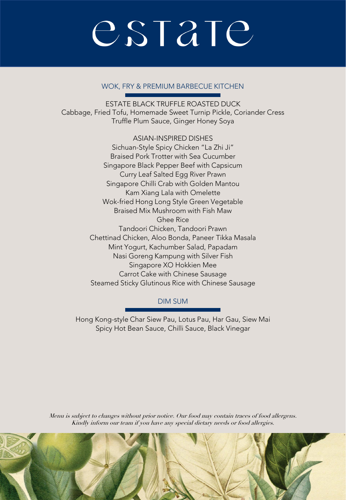#### WOK, FRY & PREMIUM BARBECUE KITCHEN

ESTATE BLACK TRUFFLE ROASTED DUCK Cabbage, Fried Tofu, Homemade Sweet Turnip Pickle, Coriander Cress Truffle Plum Sauce, Ginger Honey Soya

> ASIAN-INSPIRED DISHES Sichuan-Style Spicy Chicken "La Zhi Ji" Braised Pork Trotter with Sea Cucumber Singapore Black Pepper Beef with Capsicum Curry Leaf Salted Egg River Prawn Singapore Chilli Crab with Golden Mantou Kam Xiang Lala with Omelette Wok-fried Hong Long Style Green Vegetable Braised Mix Mushroom with Fish Maw Ghee Rice Tandoori Chicken, Tandoori Prawn Chettinad Chicken, Aloo Bonda, Paneer Tikka Masala Mint Yogurt, Kachumber Salad, Papadam Nasi Goreng Kampung with Silver Fish Singapore XO Hokkien Mee Carrot Cake with Chinese Sausage Steamed Sticky Glutinous Rice with Chinese Sausage

#### DIM SUM

Hong Kong-style Char Siew Pau, Lotus Pau, Har Gau, Siew Mai Spicy Hot Bean Sauce, Chilli Sauce, Black Vinegar